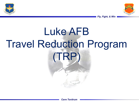



*Fly, Fight, & Win*

## Luke AFB Travel Reduction Program (TRP)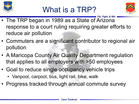

## What is a TRP?



- *Fly, Fight, & Win* • The TRP began in 1989 as a State of Arizona response to a court ruling requiring greater efforts to reduce air pollution
- Commuters are a significant contributor to regional air pollution
- A Maricopa County Air Quality Department regulation that applies to all employers with >50 employees
- Goal to reduce single occupancy vehicle trips
	- Vanpool, carpool, bus, light rail, bike, walk
- Progress tracked through annual commute survey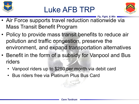

## Luke AFB TRP



- *Fly, Fight, & Win* • Air Force supports travel reduction nationwide via Mass Transit Benefit Program
- Policy to provide mass transit benefits to reduce air pollution and traffic congestion, preserve the environment, and expand transportation alternatives
- Benefit in the form of a subsidy for Vanpool and Bus riders
	- Vanpool riders up to \$280 per month via debit card
	- Bus riders free via Platinum Plus Bus Card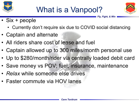



*Fly, Fight, & Win*

- Six + people
	- Currently don't require six due to COVID social distancing
- Captain and alternate
- All riders share cost of lease and fuel
- Captain allowed up to 300 miles/month personal use
- Up to \$280/month/rider via centrally loaded debit card
- Save money vs POV; fuel, insurance, maintenance
- *Relax* while someone else drives
- Faster commute via HOV lanes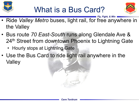





- *Fly, Fight, & Win* • Ride *Valley Metro* buses, light rail, for free anywhere in the Valley
- Bus route *70 East-South* runs along Glendale Ave & 24<sup>th</sup> Street from downtown Phoenix to Lightning Gate
	- Hourly stops at Lightning Gate
- Use the Bus Card to ride light rail anywhere in the Valley